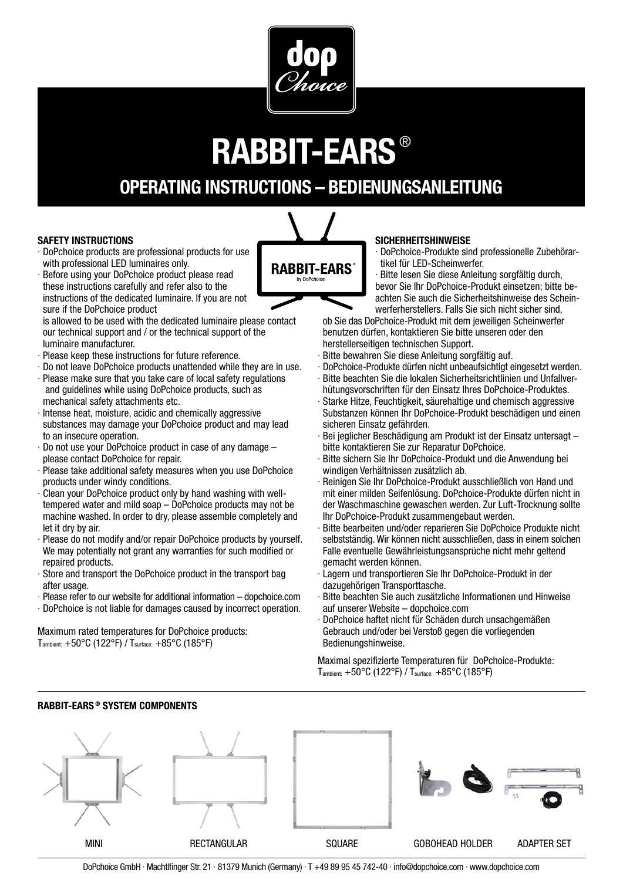

# **RABBIT-EARS** ®

## **OPERATING INSTRUCTIONS – BEDIENUNGSANLEITUNG**

#### **SAFETY INSTRUCTIONS**

- · DoPchoice products are professional products for use with professional LED luminaires only.
- · Before using your DoPchoice product please read these instructions carefully and refer also to the instructions of the dedicated luminaire. If you are not sure if the DoPchoice product
- is allowed to be used with the dedicated luminaire please contact our technical support and / or the technical support of the luminaire manufacturer.
- · Please keep these instructions for future reference.
- · Do not leave DoPchoice products unattended while they are in use.
- · Please make sure that you take care of local safety regulations and guidelines while using DoPchoice products, such as mechanical safety attachments etc.
- Intense heat, moisture, acidic and chemically aggressive substances may damage your DoPchoice product and may lead to an insecure operation.
- · Do not use your DoPchoice product in case of any damage please contact DoPchoice for repair.
- · Please take additional safety measures when you use DoPchoice products under windy conditions.
- · Clean your DoPchoice product only by hand washing with welltempered water and mild soap – DoPchoice products may not be machine washed. In order to dry, please assemble completely and let it dry by air.
- · Please do not modify and/or repair DoPchoice products by yourself. We may potentially not grant any warranties for such modified or repaired products.
- · Store and transport the DoPchoice product in the transport bag after usage.
- · Please refer to our website for additional information dopchoice.com
- · DoPchoice is not liable for damages caused by incorrect operation.

Maximum rated temperatures for DoPchoice products: Tambient: +50°C (122°F) / Tsurface: +85°C (185°F)

**RABBIT-EARS ® SYSTEM COMPONENTS**

#### **SICHERHEITSHINWEISE**

· DoPchoice-Produkte sind professionelle Zubehörar tikel für LED-Scheinwerfer.

· Bitte lesen Sie diese Anleitung sorgfältig durch, bevor Sie Ihr DoPchoice-Produkt einsetzen; bitte beachten Sie auch die Sicherheitshinweise des Scheinwerferherstellers. Falls Sie sich nicht sicher sind,

ob Sie das DoPchoice-Produkt mit dem jeweiligen Scheinwerfer benutzen dürfen, kontaktieren Sie bitte unseren oder den herstellerseitigen technischen Support.

- · Bitte bewahren Sie diese Anleitung sorgfältig auf.
- · DoPchoice-Produkte dürfen nicht unbeaufsichtigt eingesetzt werden.
- · Bitte beachten Sie die lokalen Sicherheitsrichtlinien und Unfallverhütungsvorschriften für den Einsatz Ihres DoPchoice-Produktes.
- · Starke Hitze, Feuchtigkeit, säurehaltige und chemisch aggressive Substanzen können Ihr DoPchoice-Produkt beschädigen und einen sicheren Einsatz gefährden.
- · Bei jeglicher Beschädigung am Produkt ist der Einsatz untersagt bitte kontaktieren Sie zur Reparatur DoPchoice.
- Bitte sichern Sie Ihr DoPchoice-Produkt und die Anwendung bei windigen Verhältnissen zusätzlich ab.
- · Reinigen Sie Ihr DoPchoice-Produkt ausschließlich von Hand und mit einer milden Seifenlösung. DoPchoice-Produkte dürfen nicht in der Waschmaschine gewaschen werden. Zur Luft-Trocknung sollte Ihr DoPchoice-Produkt zusammengebaut werden.
- · Bitte bearbeiten und/oder reparieren Sie DoPchoice Produkte nicht selbstständig. Wir können nicht ausschließen, dass in einem solchen Falle eventuelle Gewährleistungsansprüche nicht mehr geltend gemacht werden können.
- · Lagern und transportieren Sie Ihr DoPchoice-Produkt in der dazugehörigen Transporttasche.
- · Bitte beachten Sie auch zusätzliche Informationen und Hinweise auf unserer Website – dopchoice.com
- · DoPchoice haftet nicht für Schäden durch unsachgemäßen Gebrauch und/oder bei Verstoß gegen die vorliegenden Bedienungshinweise.

Maximal spezifizierte Temperaturen für DoPchoice-Produkte: Tambient: +50°C (122°F) / Tsurface: +85°C (185°F)



**RABBIT-EARS**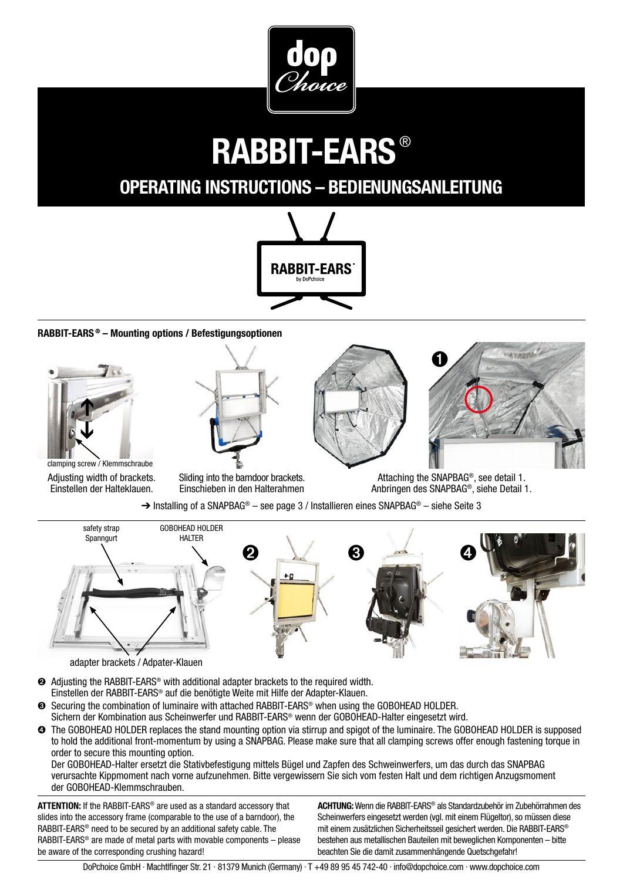

# **RABBIT-EARS** ®

### **OPERATING INSTRUCTIONS – BEDIENUNGSANLEITUNG**



#### **RABBIT-EARS ® – Mounting options / Befestigungsoptionen**







Adjusting width of brackets. Einstellen der Halteklauen.

Sliding into the barndoor brackets. Einschieben in den Halterahmen

Attaching the SNAPBAG®, see detail 1. Anbringen des SNAPBAG®, siehe Detail 1.

 $\rightarrow$  Installing of a SNAPBAG<sup>®</sup> – see page 3 / Installieren eines SNAPBAG<sup>®</sup> – siehe Seite 3



adapter brackets / Adpater-Klauen

➋ Adjusting the RABBIT-EARS® with additional adapter brackets to the required width. Einstellen der RABBIT-EARS® auf die benötigte Weite mit Hilfe der Adapter-Klauen.

- ➌ Securing the combination of luminaire with attached RABBIT-EARS® when using the GOBOHEAD HOLDER. Sichern der Kombination aus Scheinwerfer und RABBIT-EARS® wenn der GOBOHEAD-Halter eingesetzt wird.
- ➍ The GOBOHEAD HOLDER replaces the stand mounting option via stirrup and spigot of the luminaire. The GOBOHEAD HOLDER is supposed to hold the additional front-momentum by using a SNAPBAG. Please make sure that all clamping screws offer enough fastening torque in order to secure this mounting option.

Der GOBOHEAD-Halter ersetzt die Stativbefestigung mittels Bügel und Zapfen des Schweinwerfers, um das durch das SNAPBAG verursachte Kippmoment nach vorne aufzunehmen. Bitte vergewissern Sie sich vom festen Halt und dem richtigen Anzugsmoment der GOBOHEAD-Klemmschrauben.

**ATTENTION:** If the RABBIT-EARS® are used as a standard accessory that slides into the accessory frame (comparable to the use of a barndoor), the RABBIT-EARS® need to be secured by an additional safety cable. The RABBIT-EARS® are made of metal parts with movable components – please be aware of the corresponding crushing hazard!

**ACHTUNG:** Wenn die RABBIT-EARS® als Standardzubehör im Zubehörrahmen des Scheinwerfers eingesetzt werden (vgl. mit einem Flügeltor), so müssen diese mit einem zusätzlichen Sicherheitsseil gesichert werden. Die RABBIT-EARS® bestehen aus metallischen Bauteilen mit beweglichen Komponenten – bitte beachten Sie die damit zusammenhängende Quetschgefahr!